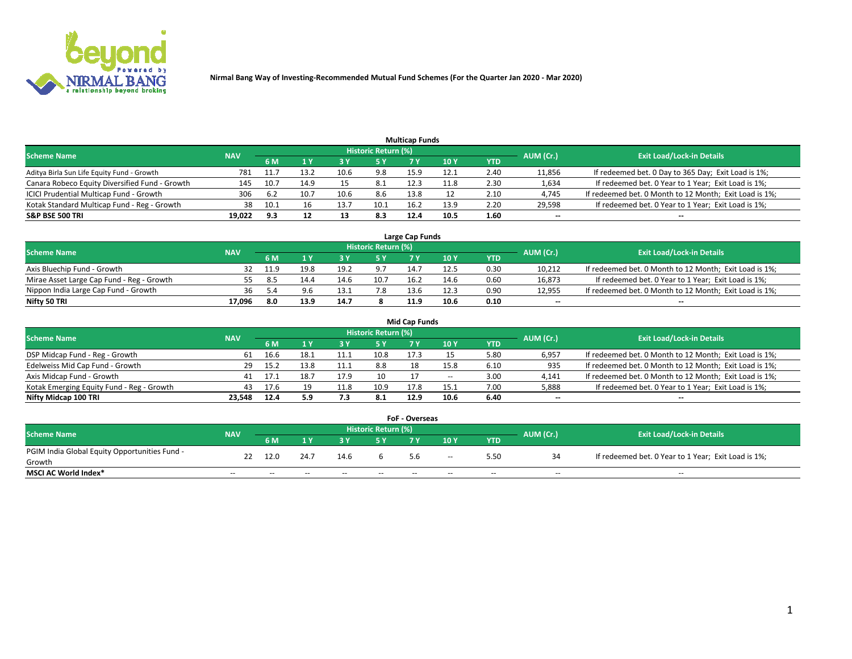

|                                                |            |      |      |      |                     | <b>Multicap Funds</b> |      |      |           |                                                        |
|------------------------------------------------|------------|------|------|------|---------------------|-----------------------|------|------|-----------|--------------------------------------------------------|
| Scheme Name                                    | <b>NAV</b> |      |      |      | Historic Return (%) |                       |      |      | AUM (Cr.) | <b>Exit Load/Lock-in Details</b>                       |
|                                                |            | 6 M  |      |      | 5 Y                 | 7 Y                   | 10Y  | YTD  |           |                                                        |
| Aditya Birla Sun Life Equity Fund - Growth     | 781        | 11.7 | 13.2 | 10.6 | 9.8                 | 15.9                  | 12.1 | 2.40 | 11,856    | If redeemed bet. 0 Day to 365 Day; Exit Load is 1%;    |
| Canara Robeco Equity Diversified Fund - Growth | 145        | 10.7 | 14.9 |      | 8.1                 | 12.3                  | 11.8 | 2.30 | 1,634     | If redeemed bet. 0 Year to 1 Year; Exit Load is 1%;    |
| ICICI Prudential Multicap Fund - Growth        | 306        | -6.2 | 10.7 | 10.6 | 8.6                 | 13.8                  |      | 2.10 | 4,745     | If redeemed bet. 0 Month to 12 Month; Exit Load is 1%; |
| Kotak Standard Multicap Fund - Reg - Growth    | 38         | 10.1 | 16   | 13.7 | 10.1                | 16.2                  | 13.9 | 2.20 | 29,598    | If redeemed bet. 0 Year to 1 Year; Exit Load is 1%;    |
| <b>S&amp;P BSE 500 TRI</b>                     | 19.022     | 9.3  |      | 12   | 8.3                 | 12.4                  | 10.5 | 1.60 | $\sim$    | $- -$                                                  |

| Large Cap Funds                           |            |      |      |      |                     |      |      |      |           |                                                        |  |  |  |  |
|-------------------------------------------|------------|------|------|------|---------------------|------|------|------|-----------|--------------------------------------------------------|--|--|--|--|
| Scheme Name                               | <b>NAV</b> |      |      |      | Historic Return (%) |      |      |      | AUM (Cr.) | <b>Exit Load/Lock-in Details</b>                       |  |  |  |  |
|                                           |            | 6 M  |      |      | 5 Y                 |      | 10Y  | YTD  |           |                                                        |  |  |  |  |
| Axis Bluechip Fund - Growth               | 32         | 11.9 | 19.8 | 19.2 |                     |      | 12.5 | 0.30 | 10,212    | If redeemed bet. 0 Month to 12 Month; Exit Load is 1%; |  |  |  |  |
| Mirae Asset Large Cap Fund - Reg - Growth |            |      | 14.4 | 14.6 | 10.7                | 16.2 | 14.6 | 0.60 | 16,873    | If redeemed bet. 0 Year to 1 Year; Exit Load is 1%;    |  |  |  |  |
| Nippon India Large Cap Fund - Growth      | 36         |      |      |      | 7.8                 | 13.6 | 12.3 | 0.90 | 12,955    | If redeemed bet. 0 Month to 12 Month; Exit Load is 1%; |  |  |  |  |
| Nifty 50 TRI                              | 17.096     | 8.0  | 13.9 | 14.7 |                     | 11.9 | 10.6 | 0.10 | $\sim$    | $\sim$                                                 |  |  |  |  |

|                                           |            |       |      |      |                     | <b>Mid Cap Funds</b> |       |            |           |                                                        |
|-------------------------------------------|------------|-------|------|------|---------------------|----------------------|-------|------------|-----------|--------------------------------------------------------|
| <b>Scheme Name</b>                        | <b>NAV</b> |       |      |      | Historic Return (%) |                      |       |            | AUM (Cr.) | <b>Exit Load/Lock-in Details</b>                       |
|                                           |            | 6 M   |      |      | 5 Y                 |                      | 10 Y  | <b>YTD</b> |           |                                                        |
| DSP Midcap Fund - Reg - Growth            | 61         | 16.6  | 18.1 |      | 10.8                | 17.3                 |       | 5.80       | 6,957     | If redeemed bet. 0 Month to 12 Month; Exit Load is 1%; |
| Edelweiss Mid Cap Fund - Growth           | 29         | -15.2 | 13.8 | 11.1 | 8.8                 |                      | 15.8  | 6.10       | 935       | If redeemed bet. 0 Month to 12 Month; Exit Load is 1%; |
| Axis Midcap Fund - Growth                 | 41         |       | 18.7 | 17.9 | 10                  |                      | $- -$ | 3.00       | 4,141     | If redeemed bet. 0 Month to 12 Month; Exit Load is 1%; |
| Kotak Emerging Equity Fund - Reg - Growth | 43         | 17.6  | 19   | 11.8 | 10.9                | 17.8                 | 15.1  | 7.00       | 5,888     | If redeemed bet. 0 Year to 1 Year; Exit Load is 1%;    |
| Nifty Midcap 100 TRI                      | 23.548     | 12.4  | 5.9  | 7.3  | 8.1                 | 12.9                 | 10.6  | 6.40       | $\sim$    | $\sim$                                                 |

| <b>FoF - Overseas</b>                         |            |                                         |       |       |       |     |                                  |            |       |                                                     |  |  |  |
|-----------------------------------------------|------------|-----------------------------------------|-------|-------|-------|-----|----------------------------------|------------|-------|-----------------------------------------------------|--|--|--|
| <b>Scheme Name</b>                            | <b>NAV</b> | <b>Historic Return (%)</b><br>AUM (Cr.) |       |       |       |     | <b>Exit Load/Lock-in Details</b> |            |       |                                                     |  |  |  |
|                                               |            | 6 M                                     |       |       |       |     | 10Y                              | <b>YTD</b> |       |                                                     |  |  |  |
| PGIM India Global Equity Opportunities Fund - | 22         | 12.0                                    | 24.7  | 14.6  |       |     | $\sim$ $\sim$                    | 5.50       |       | If redeemed bet. 0 Year to 1 Year; Exit Load is 1%; |  |  |  |
| Growth                                        |            |                                         |       |       |       | 5.6 |                                  |            |       |                                                     |  |  |  |
| <b>MSCI AC World Index*</b>                   | $- -$      | $- -$                                   | $- -$ | $- -$ | $- -$ | --  | $- -$                            | $- -$      | $- -$ | $- -$                                               |  |  |  |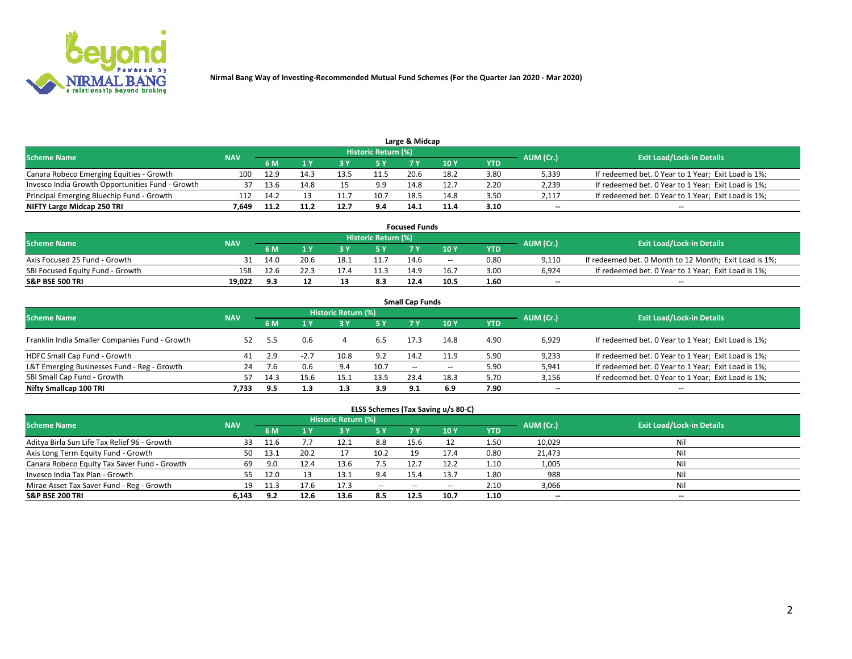

| Large & Midcap                                   |            |      |      |      |                     |      |      |      |                          |                                                     |  |  |  |  |
|--------------------------------------------------|------------|------|------|------|---------------------|------|------|------|--------------------------|-----------------------------------------------------|--|--|--|--|
| <b>Scheme Name</b>                               | <b>NAV</b> |      |      |      | Historic Return (%) |      |      |      | AUM (Cr.)                | <b>Exit Load/Lock-in Details</b>                    |  |  |  |  |
|                                                  |            | 6 M  |      |      | 5 Y                 |      | 10Y  | YTD  |                          |                                                     |  |  |  |  |
| Canara Robeco Emerging Equities - Growth         | 100        | 12.9 | 14.3 | 13.5 | 11.5                | 20.6 | 18.2 | 3.80 | 5,339                    | If redeemed bet. 0 Year to 1 Year; Exit Load is 1%; |  |  |  |  |
| Invesco India Growth Opportunities Fund - Growth | 37         | 13.6 | 14.8 |      | 9.9                 | 14.8 | 12.7 | 2.20 | 2,239                    | If redeemed bet. 0 Year to 1 Year; Exit Load is 1%; |  |  |  |  |
| Principal Emerging Bluechip Fund - Growth        | 112        | 14.2 |      | 11.  | 10.7                | 18.5 | 14.8 | 3.50 | 2,117                    | If redeemed bet. 0 Year to 1 Year; Exit Load is 1%; |  |  |  |  |
| NIFTY Large Midcap 250 TRI                       | 7.649      | 11.2 |      | 12.7 | 9.4                 | 14.1 | 11.4 | 3.10 | $\overline{\phantom{a}}$ | $-$                                                 |  |  |  |  |

| <b>Focused Funds</b>             |            |            |      |  |                     |      |       |      |           |                                                        |  |  |  |
|----------------------------------|------------|------------|------|--|---------------------|------|-------|------|-----------|--------------------------------------------------------|--|--|--|
| <b>Scheme Name</b>               | <b>NAV</b> |            |      |  | Historic Return (%) |      |       |      |           | <b>Exit Load/Lock-in Details</b>                       |  |  |  |
|                                  |            | <b>6 M</b> |      |  |                     |      | 10 Y  | YTD  | AUM (Cr.) |                                                        |  |  |  |
| Axis Focused 25 Fund - Growth    |            | 14.0       | 20.6 |  |                     | 14.6 | $- -$ | 0.80 | 9.110     | If redeemed bet. 0 Month to 12 Month; Exit Load is 1%; |  |  |  |
| SBI Focused Equity Fund - Growth | 158        |            |      |  |                     | 14.9 | 16.7  | 3.00 | 6.924     | If redeemed bet. 0 Year to 1 Year; Exit Load is 1%;    |  |  |  |
| <b>S&amp;P BSE 500 TRI</b>       | 19.022     | 9.3        |      |  | 8.3                 | 12.4 | 10.5  | 1.60 | $\sim$    | $- -$                                                  |  |  |  |

| <b>Small Cap Funds</b>                         |            |      |        |                     |      |               |        |      |           |                                                     |  |  |  |  |
|------------------------------------------------|------------|------|--------|---------------------|------|---------------|--------|------|-----------|-----------------------------------------------------|--|--|--|--|
| <b>Scheme Name</b>                             | <b>NAV</b> |      |        | Historic Return (%) |      |               |        |      | AUM (Cr.) | <b>Exit Load/Lock-in Details</b>                    |  |  |  |  |
|                                                |            | 6 M  |        | 3Y                  | 5 Y  | 7 Y           | 10Y    | YTD  |           |                                                     |  |  |  |  |
| Franklin India Smaller Companies Fund - Growth | 52         | 5.5  | 0.6    |                     | 6.5  | 17.3          | 14.8   | 4.90 | 6,929     | If redeemed bet. 0 Year to 1 Year; Exit Load is 1%; |  |  |  |  |
| HDFC Small Cap Fund - Growth                   | 41         | 2.9  | $-2.7$ |                     | 9.2  | 14.2          | 11.9   | 5.90 | 9,233     | If redeemed bet. 0 Year to 1 Year; Exit Load is 1%; |  |  |  |  |
| L&T Emerging Businesses Fund - Reg - Growth    | 24         | -7.6 | 0.6    | 9.4                 | 10.7 | $\sim$ $\sim$ | $\sim$ | 5.90 | 5,941     | If redeemed bet. 0 Year to 1 Year; Exit Load is 1%; |  |  |  |  |
| SBI Small Cap Fund - Growth                    | 57         | 14.3 | 15.6   | 15.1                | 13.5 | 23.4          | 18.3   | 5.70 | 3,156     | If redeemed bet. 0 Year to 1 Year; Exit Load is 1%; |  |  |  |  |
| Nifty Smallcap 100 TRI                         | 7.733      | 9.5  | 1.3    | 1.3                 | 3.9  | 9.1           | 6.9    | 7.90 | $\sim$    | $- -$                                               |  |  |  |  |

## **ELSS Schemes (Tax Saving u/s 80-C)**

| <b>Scheme Name</b>                           | <b>NAV</b> |      |      | <b>Historic Return (%)</b> |           |      |      |      | AUM (Cr.) | <b>Exit Load/Lock-in Details</b> |
|----------------------------------------------|------------|------|------|----------------------------|-----------|------|------|------|-----------|----------------------------------|
|                                              |            | 6 M  | 1 Y  |                            | <b>5Y</b> | 7 Y  | 10Y  | YTD  |           |                                  |
| Aditya Birla Sun Life Tax Relief 96 - Growth | 33         | 11.6 |      | 12.1                       | 8.8       | 15.6 |      | 1.50 | 10,029    | Nil                              |
| Axis Long Term Equity Fund - Growth          | 50         | 13.1 | 20.2 |                            | 10.2      | 19   | 17.4 | 0.80 | 21,473    | Nil                              |
| Canara Robeco Equity Tax Saver Fund - Growth | 69         | 9.0  | 12.4 | 13.6                       | ל.        | 12.1 | 12.2 | 1.10 | 1,005     | Nil                              |
| Invesco India Tax Plan - Growth              | 55         | 12.0 |      | 13.1                       | 9.4       | 15.4 | 13.7 | 1.80 | 988       | Nil                              |
| Mirae Asset Tax Saver Fund - Reg - Growth    | 19         | 11.3 | L7.6 | 17.3                       | $- -$     | --   |      | 2.10 | 3,066     | Nil                              |
| S&P BSE 200 TRI                              | 6,143      | 9.2  | 12.6 | 13.6                       | 8.5       | 12.5 | 10.7 | 1.10 | $\sim$    | $- -$                            |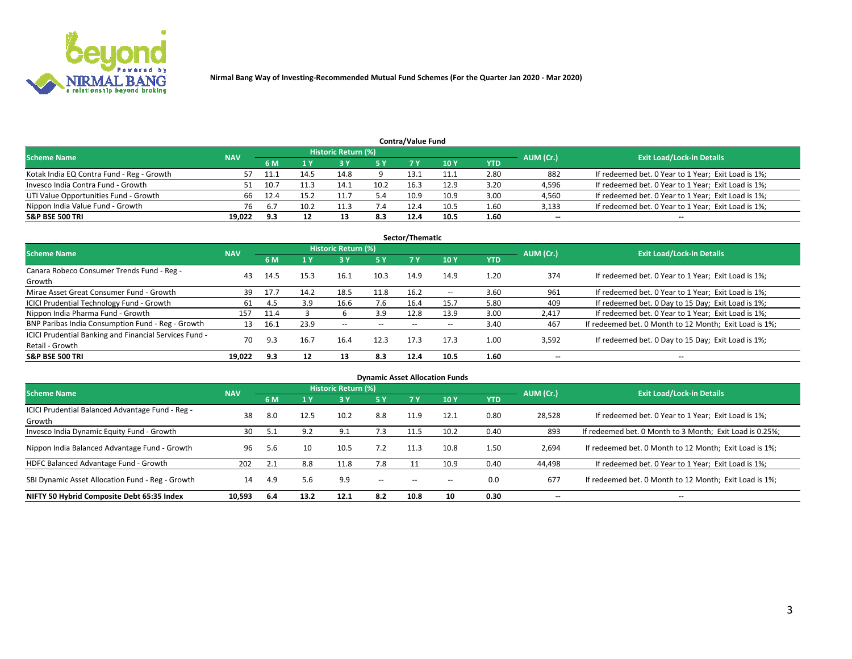

| <b>Contra/Value Fund</b><br>Historic Return (%) |            |      |      |      |      |      |      |      |           |                                                     |  |  |  |
|-------------------------------------------------|------------|------|------|------|------|------|------|------|-----------|-----------------------------------------------------|--|--|--|
| <b>Scheme Name</b>                              | <b>NAV</b> |      |      |      |      |      |      |      | AUM (Cr.) | <b>Exit Load/Lock-in Details</b>                    |  |  |  |
|                                                 |            | 6 M  |      |      | 5 Y  |      | 10Y  | YTD  |           |                                                     |  |  |  |
| Kotak India EQ Contra Fund - Reg - Growth       |            |      |      | 14.8 |      |      | 11.1 | 2.80 | 882       | If redeemed bet. 0 Year to 1 Year; Exit Load is 1%; |  |  |  |
| Invesco India Contra Fund - Growth              |            |      |      | 14.1 | 10.2 | 16.5 | 12.9 | 3.20 | 4,596     | If redeemed bet. 0 Year to 1 Year; Exit Load is 1%; |  |  |  |
| UTI Value Opportunities Fund - Growth           | 66         | 12.4 | 15.2 | .    |      | 10.9 | 10.9 | 3.00 | 4,560     | If redeemed bet. 0 Year to 1 Year; Exit Load is 1%; |  |  |  |
| Nippon India Value Fund - Growth                | 76         | 6.7  | 10.2 |      |      | 12.4 | 10.5 | 1.60 | 3,133     | If redeemed bet. 0 Year to 1 Year; Exit Load is 1%; |  |  |  |
| <b>S&amp;P BSE 500 TRI</b>                      | 19.022     | 9.3  |      |      | 8.3  | 12.4 | 10.5 | 1.60 | $\sim$    | $- -$                                               |  |  |  |

|                                                                           |            |      |      |                     |           | Sector/Thematic |                          |            |                          |                                                        |
|---------------------------------------------------------------------------|------------|------|------|---------------------|-----------|-----------------|--------------------------|------------|--------------------------|--------------------------------------------------------|
| <b>Scheme Name</b>                                                        | <b>NAV</b> |      |      | Historic Return (%) |           |                 |                          |            | AUM (Cr.)                | <b>Exit Load/Lock-in Details</b>                       |
|                                                                           |            | 6 M  | 1 Y  | 73 Y                | <b>5Y</b> | 7 Y             | 10Y                      | <b>YTD</b> |                          |                                                        |
| Canara Robeco Consumer Trends Fund - Reg -<br>Growth                      | 43         | 14.5 | 15.3 | 16.1                | 10.3      | 14.9            | 14.9                     | 1.20       | 374                      | If redeemed bet. 0 Year to 1 Year; Exit Load is 1%;    |
| Mirae Asset Great Consumer Fund - Growth                                  | 39         | 17.7 | 14.2 | 18.5                | 11.8      | 16.2            | $\overline{\phantom{a}}$ | 3.60       | 961                      | If redeemed bet. 0 Year to 1 Year; Exit Load is 1%;    |
| ICICI Prudential Technology Fund - Growth                                 | 61         | 4.5  | 3.9  | 16.6                | 7.6       | 16.4            | 15.7                     | 5.80       | 409                      | If redeemed bet. 0 Day to 15 Day; Exit Load is 1%;     |
| Nippon India Pharma Fund - Growth                                         | 157        | 11.4 |      |                     | 3.9       | 12.8            | 13.9                     | 3.00       | 2,417                    | If redeemed bet. 0 Year to 1 Year; Exit Load is 1%;    |
| BNP Paribas India Consumption Fund - Reg - Growth                         | 13         | 16.1 | 23.9 | $- -$               | $- -$     | $- -$           | $- -$                    | 3.40       | 467                      | If redeemed bet. 0 Month to 12 Month; Exit Load is 1%; |
| ICICI Prudential Banking and Financial Services Fund -<br>Retail - Growth | 70         | 9.3  | 16.7 | 16.4                | 12.3      | 17.3            | 17.3                     | 1.00       | 3,592                    | If redeemed bet. 0 Day to 15 Day; Exit Load is 1%;     |
| <b>S&amp;P BSE 500 TRI</b>                                                | 19.022     | 9.3  | 12   | 13                  | 8.3       | 12.4            | 10.5                     | 1.60       | $\overline{\phantom{a}}$ | $- -$                                                  |

|                                                            |            |     |      |                     |               |                          | <b>Dynamic Asset Allocation Funds</b> |            |           |                                                          |
|------------------------------------------------------------|------------|-----|------|---------------------|---------------|--------------------------|---------------------------------------|------------|-----------|----------------------------------------------------------|
| <b>Scheme Name</b>                                         | <b>NAV</b> |     |      | Historic Return (%) |               |                          |                                       |            |           | <b>Exit Load/Lock-in Details</b>                         |
|                                                            |            | 6 M |      | <b>3Y</b>           | 5 Y           |                          | 10 <sub>Y</sub>                       | <b>YTD</b> | AUM (Cr.) |                                                          |
| ICICI Prudential Balanced Advantage Fund - Reg -<br>Growth | 38         | 8.0 | 12.5 | 10.2                | 8.8           | 11.9                     | 12.1                                  | 0.80       | 28,528    | If redeemed bet. 0 Year to 1 Year; Exit Load is 1%;      |
| Invesco India Dynamic Equity Fund - Growth                 | 30         | 5.1 | 9.2  | 9.1                 | 7.3           | 11.5                     | 10.2                                  | 0.40       | 893       | If redeemed bet. 0 Month to 3 Month; Exit Load is 0.25%; |
| Nippon India Balanced Advantage Fund - Growth              | 96         | 5.6 | 10   | 10.5                | 7.2           | 11.3                     | 10.8                                  | 1.50       | 2,694     | If redeemed bet. 0 Month to 12 Month; Exit Load is 1%;   |
| HDFC Balanced Advantage Fund - Growth                      | 202        | 2.1 | 8.8  | 11.8                | 7.8           |                          | 10.9                                  | 0.40       | 44,498    | If redeemed bet. 0 Year to 1 Year; Exit Load is 1%;      |
| SBI Dynamic Asset Allocation Fund - Reg - Growth           | 14         | 4.9 | 5.6  | 9.9                 | $\sim$ $\sim$ | $\overline{\phantom{m}}$ | $- -$                                 | 0.0        | 677       | If redeemed bet. 0 Month to 12 Month; Exit Load is 1%;   |
| NIFTY 50 Hybrid Composite Debt 65:35 Index                 | 10,593     | 6.4 | 13.2 | 12.1                | 8.2           | 10.8                     | 10                                    | 0.30       | $\sim$    | $\overline{\phantom{a}}$                                 |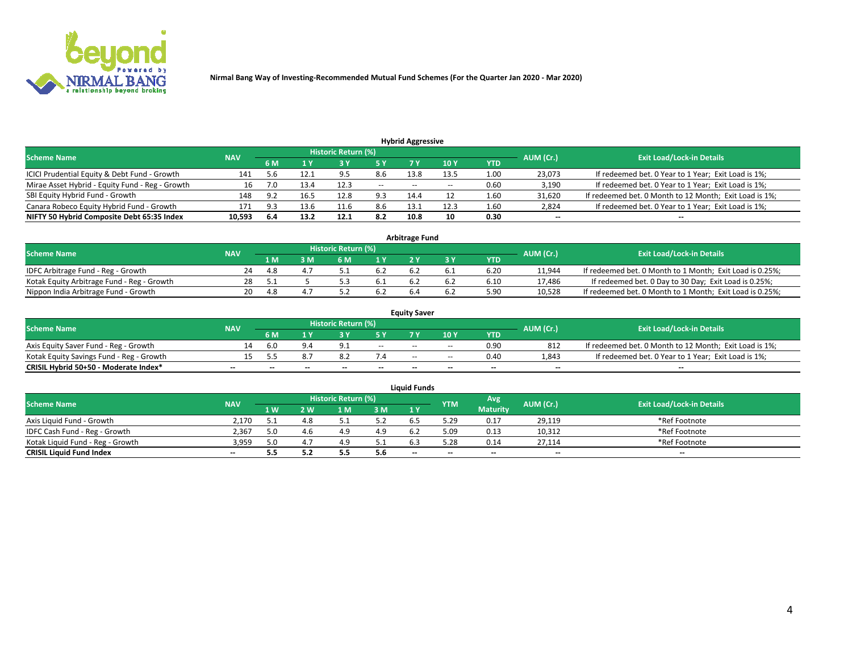

| <b>Hybrid Aggressive</b>                        |            |     |      |                            |        |                          |       |      |                          |                                                        |  |  |  |  |
|-------------------------------------------------|------------|-----|------|----------------------------|--------|--------------------------|-------|------|--------------------------|--------------------------------------------------------|--|--|--|--|
| <b>Scheme Name</b>                              | <b>NAV</b> |     |      | <b>Historic Return (%)</b> |        |                          |       |      | AUM (Cr.)                | <b>Exit Load/Lock-in Details</b>                       |  |  |  |  |
|                                                 |            | 6 M |      |                            |        |                          | 10Y   | YTD  |                          |                                                        |  |  |  |  |
| ICICI Prudential Equity & Debt Fund - Growth    | 141        |     | 12.1 | 9.5                        | 8.6    | 13.8                     | 13.5  | 1.00 | 23,073                   | If redeemed bet. 0 Year to 1 Year; Exit Load is 1%;    |  |  |  |  |
| Mirae Asset Hybrid - Equity Fund - Reg - Growth | 16         |     | 13.4 | 12.3                       | $\sim$ | $\overline{\phantom{a}}$ | $- -$ | 0.60 | 3,190                    | If redeemed bet. 0 Year to 1 Year; Exit Load is 1%;    |  |  |  |  |
| SBI Equity Hybrid Fund - Growth                 | 148        | 9.2 | 16.5 | 12.8                       | 9.3    | 14.4                     |       | 1.60 | 31,620                   | If redeemed bet. 0 Month to 12 Month; Exit Load is 1%; |  |  |  |  |
| Canara Robeco Equity Hybrid Fund - Growth       | 171        | 9.3 | 13.6 | 11.6                       | 8.6    | 13.1                     | 12.3  | 1.60 | 2,824                    | If redeemed bet. 0 Year to 1 Year; Exit Load is 1%;    |  |  |  |  |
| NIFTY 50 Hybrid Composite Debt 65:35 Index      | 10,593     | 6.4 | 13.2 | 12.1                       | 8.2    | 10.8                     | 10    | 0.30 | $\overline{\phantom{a}}$ | $- -$                                                  |  |  |  |  |

|                                            |            |           |                                  |     |      | <b>Arbitrage Fund</b> |      |        |                                                          |
|--------------------------------------------|------------|-----------|----------------------------------|-----|------|-----------------------|------|--------|----------------------------------------------------------|
| Scheme Name                                | <b>NAV</b> | AUM (Cr.) | <b>Exit Load/Lock-in Details</b> |     |      |                       |      |        |                                                          |
|                                            |            | 1 M       | ያ M                              | 6 M |      |                       | YTD  |        |                                                          |
| IDFC Arbitrage Fund - Reg - Growth         | 24         | 4.8       |                                  |     | 6.2  |                       | 6.20 | 11,944 | If redeemed bet. 0 Month to 1 Month; Exit Load is 0.25%; |
| Kotak Equity Arbitrage Fund - Reg - Growth | 28.        |           |                                  |     | -6.1 |                       | 6.10 | 17,486 | If redeemed bet. 0 Day to 30 Day; Exit Load is 0.25%;    |
| Nippon India Arbitrage Fund - Growth       | 20         | 4.8       |                                  |     | 6.2  |                       | 5.90 | 10.528 | If redeemed bet. 0 Month to 1 Month; Exit Load is 0.25%; |

|                                          |            |           |                                  |                          |                          | <b>Equity Saver</b> |               |            |                          |                                                        |
|------------------------------------------|------------|-----------|----------------------------------|--------------------------|--------------------------|---------------------|---------------|------------|--------------------------|--------------------------------------------------------|
| Scheme Name                              | <b>NAV</b> | AUM (Cr.) | <b>Exit Load/Lock-in Details</b> |                          |                          |                     |               |            |                          |                                                        |
|                                          |            | 6 M       |                                  |                          | 5 Y                      |                     | $\sqrt{10}$ Y | <b>YTD</b> |                          |                                                        |
| Axis Equity Saver Fund - Reg - Growth    |            | 6.0       | 9.4                              | $\Omega$                 | $\sim$                   | $-$                 | $- -$         | 0.90       | 812                      | If redeemed bet. 0 Month to 12 Month; Exit Load is 1%; |
| Kotak Equity Savings Fund - Reg - Growth |            |           |                                  |                          |                          | $\sim$ $\sim$       | $- -$         | 0.40       | 1,843                    | If redeemed bet. 0 Year to 1 Year; Exit Load is 1%;    |
| CRISIL Hybrid 50+50 - Moderate Index*    |            | $- -$     | $-$                              | $\overline{\phantom{a}}$ | $\overline{\phantom{a}}$ | $\sim$              | --            | $\sim$     | $\overline{\phantom{a}}$ | $- -$                                                  |

| <b>Liquid Funds</b>                                                                                                           |       |      |     |     |     |                          |        |                 |        |               |  |  |  |  |
|-------------------------------------------------------------------------------------------------------------------------------|-------|------|-----|-----|-----|--------------------------|--------|-----------------|--------|---------------|--|--|--|--|
| <b>Historic Return (%)</b><br>Avg<br><b>Exit Load/Lock-in Details</b><br>AUM (Cr.)<br>Scheme Name<br><b>NAV</b><br><b>YTM</b> |       |      |     |     |     |                          |        |                 |        |               |  |  |  |  |
|                                                                                                                               |       | 1 W. | ว พ | 1 M | 3 M | 1 Y                      |        | <b>Maturity</b> |        |               |  |  |  |  |
| Axis Liquid Fund - Growth                                                                                                     | 2.170 |      | 4.8 |     | 5.2 |                          | 5.29   | 0.17            | 29,119 | *Ref Footnote |  |  |  |  |
| IDFC Cash Fund - Reg - Growth                                                                                                 | 2.367 | 5.0  |     |     | 4.9 |                          | 5.09   | 0.13            | 10,312 | *Ref Footnote |  |  |  |  |
| Kotak Liquid Fund - Reg - Growth                                                                                              | 3,959 |      |     | 4.9 | ے . |                          | 5.28   | 0.14            | 27,114 | *Ref Footnote |  |  |  |  |
| <b>CRISIL Liquid Fund Index</b>                                                                                               | $- -$ | 5.5  | 5.2 |     | 5.6 | $\overline{\phantom{a}}$ | $\sim$ | $\sim$          | $\sim$ | $\sim$        |  |  |  |  |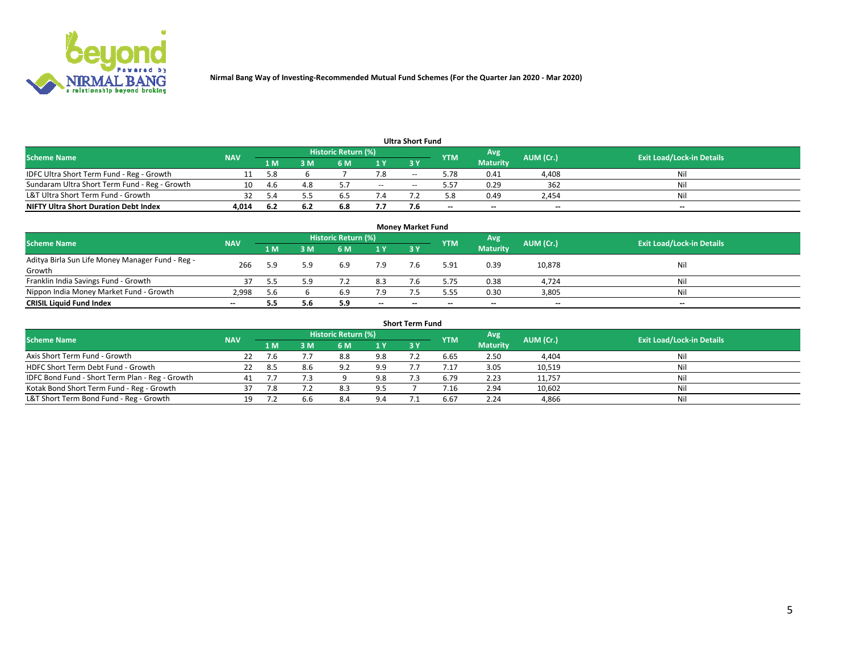

| <b>Ultra Short Fund</b>                       |            |      |     |                     |        |            |            |                 |           |                                  |  |  |  |
|-----------------------------------------------|------------|------|-----|---------------------|--------|------------|------------|-----------------|-----------|----------------------------------|--|--|--|
| <b>Scheme Name</b>                            | <b>NAV</b> |      |     | Historic Return (%) |        |            | <b>YTM</b> | 'Avg            | AUM (Cr.) | <b>Exit Load/Lock-in Details</b> |  |  |  |
|                                               |            | 1 M  | sм  | 6 M                 | 1Y     | <b>3 Y</b> |            | <b>Maturity</b> |           |                                  |  |  |  |
| IDFC Ultra Short Term Fund - Reg - Growth     |            | 5.8  |     |                     | 7.8    | --         | 5.78       | 0.41            | 4,408     | Nil                              |  |  |  |
| Sundaram Ultra Short Term Fund - Reg - Growth | 10.        | -4.6 | 4.8 |                     | $\sim$ | --         | ∕ د.د      | 0.29            | 362       | Nil                              |  |  |  |
| L&T Ultra Short Term Fund - Growth            | 32         |      |     | .c. b               |        |            |            | 0.49            | 2.454     | Nil                              |  |  |  |
| <b>NIFTY Ultra Short Duration Debt Index</b>  | 4,014      | -6.2 | 6.2 | 6.8                 | 7.7    |            | $\sim$     | $-$             | $\sim$    | $\sim$                           |  |  |  |

| <b>Money Market Fund</b>                         |            |       |     |                     |                |           |                          |                 |           |                                  |  |  |  |
|--------------------------------------------------|------------|-------|-----|---------------------|----------------|-----------|--------------------------|-----------------|-----------|----------------------------------|--|--|--|
| <b>Scheme Name</b>                               | <b>NAV</b> |       |     | Historic Return (%) |                |           | <b>YTM</b>               | Avg             | AUM (Cr.) | <b>Exit Load/Lock-in Details</b> |  |  |  |
|                                                  |            | '1 M. | 3 M | 6 M                 | 1 <sub>Y</sub> | <b>3Y</b> |                          | <b>Maturity</b> |           |                                  |  |  |  |
| Aditya Birla Sun Life Money Manager Fund - Reg - | 266        | 5.9   | 5.9 | 6.9                 | 7.9            |           | 5.91                     | 0.39            | 10,878    | Nil                              |  |  |  |
| Growth                                           |            |       |     |                     |                |           |                          |                 |           |                                  |  |  |  |
| Franklin India Savings Fund - Growth             |            |       | 5.9 |                     | 8.3            |           | -75.د                    | 0.38            | 4,724     | Nil                              |  |  |  |
| Nippon India Money Market Fund - Growth          | 2.998      | 5.6   |     | 6.9                 | 7.9            |           | 5.55                     | 0.30            | 3,805     | Nil                              |  |  |  |
| <b>CRISIL Liquid Fund Index</b>                  | $- -$      |       | 5.6 | 5.9                 | $\sim$         | --        | $\overline{\phantom{a}}$ | $- -$           | $\sim$    | $\sim$                           |  |  |  |

| <b>Short Term Fund</b>                          |            |      |     |                     |     |            |            |                 |           |                                  |  |  |  |  |
|-------------------------------------------------|------------|------|-----|---------------------|-----|------------|------------|-----------------|-----------|----------------------------------|--|--|--|--|
| <b>Scheme Name</b>                              | <b>NAV</b> |      |     | Historic Return (%) |     |            | <b>YTM</b> | Avg             | AUM (Cr.) | <b>Exit Load/Lock-in Details</b> |  |  |  |  |
|                                                 |            | 1 M  | 3 M | 6 M                 | 1 Y | <b>3 Y</b> |            | <b>Maturity</b> |           |                                  |  |  |  |  |
| Axis Short Term Fund - Growth                   |            |      |     | 8.8                 | 9.8 |            | 6.65       | 2.50            | 4,404     | Nil                              |  |  |  |  |
| HDFC Short Term Debt Fund - Growth              | 22         | -8.5 | 8.6 | 9.2                 | 9.9 |            |            | 3.05            | 10,519    | Nil                              |  |  |  |  |
| IDFC Bond Fund - Short Term Plan - Reg - Growth | 41         |      |     |                     | 9.8 |            | 6.79       | 2.23            | 11,757    | Nil                              |  |  |  |  |
| Kotak Bond Short Term Fund - Reg - Growth       |            | 7.8  |     | 8.3                 | 9.5 |            |            | 2.94            | 10,602    | Nil                              |  |  |  |  |
| L&T Short Term Bond Fund - Reg - Growth         | 19.        |      | 6.6 | 8.4                 | 9.4 |            | 6.67       | 2.24            | 4,866     | Nil                              |  |  |  |  |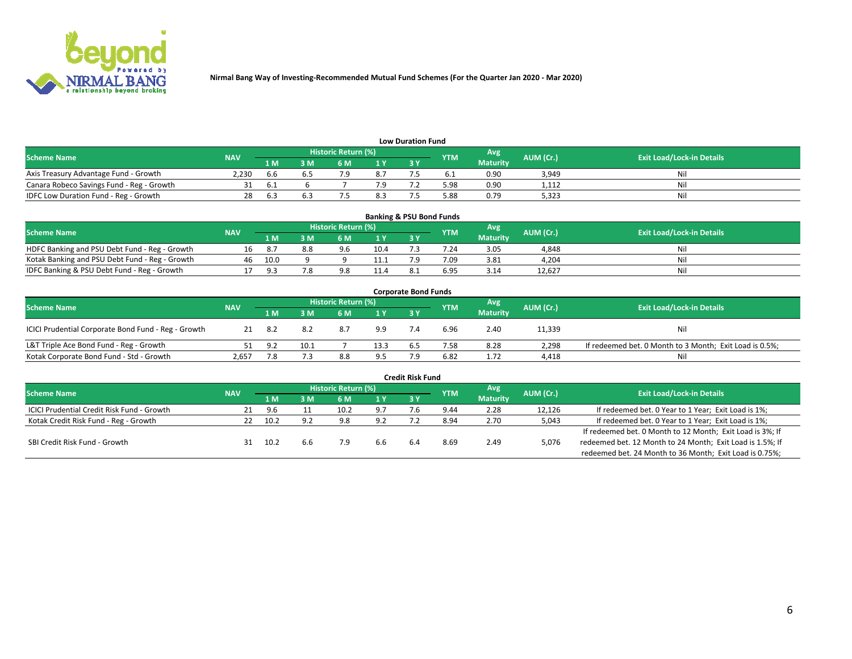

| <b>Low Duration Fund</b>                  |            |      |     |                     |     |     |            |                 |           |                                  |  |  |  |
|-------------------------------------------|------------|------|-----|---------------------|-----|-----|------------|-----------------|-----------|----------------------------------|--|--|--|
| <b>Scheme Name</b>                        | <b>NAV</b> |      |     | Historic Return (%) |     |     | <b>YTM</b> | Avg             | AUM (Cr.) | <b>Exit Load/Lock-in Details</b> |  |  |  |
|                                           |            | 1 M  | ያ M | 6 M                 | 1 V | 3 Y |            | <b>Maturity</b> |           |                                  |  |  |  |
| Axis Treasury Advantage Fund - Growth     | 2.230      | .bb  |     |                     | 8.7 |     |            | 0.90            | 3,949     | Nil                              |  |  |  |
| Canara Robeco Savings Fund - Reg - Growth |            | -6.1 |     |                     |     |     | 5.98       | 0.90            | 1,112     | Nil                              |  |  |  |
| IDFC Low Duration Fund - Reg - Growth     | 28         | 6.3  |     |                     | 8.3 |     | .88 د      | 0.79            | 5,323     | Nil                              |  |  |  |

| <b>Banking &amp; PSU Bond Funds</b>            |            |      |     |                            |      |           |            |                 |           |                                  |  |  |  |
|------------------------------------------------|------------|------|-----|----------------------------|------|-----------|------------|-----------------|-----------|----------------------------------|--|--|--|
| <b>Scheme Name</b>                             | <b>NAV</b> |      |     | <b>Historic Return (%)</b> |      |           | <b>YTM</b> | Avg             | AUM (Cr.) | <b>Exit Load/Lock-in Details</b> |  |  |  |
|                                                |            | 1 M  | sм  | 6 M                        | 71 Y | <b>3Y</b> |            | <b>Maturity</b> |           |                                  |  |  |  |
| HDFC Banking and PSU Debt Fund - Reg - Growth  | 1b.        | 8.7  | 8.8 | 9.6                        | 10.4 |           | 7.24       | 3.05            | 4,848     | Ni                               |  |  |  |
| Kotak Banking and PSU Debt Fund - Reg - Growth | 46         | 10.0 |     |                            | 11.1 |           | 7.09       | 3.81            | 4,204     | Ni                               |  |  |  |
| IDFC Banking & PSU Debt Fund - Reg - Growth    |            | Q    |     |                            | 11.4 |           | 6.95       | 3.14            | 12.627    | Ni                               |  |  |  |

| <b>Corporate Bond Funds</b>                         |                                  |     |      |     |      |     |            |                 |           |                                                         |  |  |  |  |
|-----------------------------------------------------|----------------------------------|-----|------|-----|------|-----|------------|-----------------|-----------|---------------------------------------------------------|--|--|--|--|
| <b>Scheme Name</b>                                  | <b>Exit Load/Lock-in Details</b> |     |      |     |      |     |            |                 |           |                                                         |  |  |  |  |
|                                                     | <b>NAV</b>                       | 1 M | I M  | 6 M | 1 Y  | 3Y  | <b>YTM</b> | <b>Maturity</b> | AUM (Cr.) |                                                         |  |  |  |  |
| ICICI Prudential Corporate Bond Fund - Reg - Growth |                                  | 8.2 | 8.2  | 8.7 | 9.9  |     | 6.96       | 2.40            | 11,339    | Nil                                                     |  |  |  |  |
| L&T Triple Ace Bond Fund - Reg - Growth             |                                  | റ റ | 10.1 |     | 13.3 | 6.5 | 7.58       | 8.28            | 2,298     | If redeemed bet. 0 Month to 3 Month; Exit Load is 0.5%; |  |  |  |  |
| Kotak Corporate Bond Fund - Std - Growth            | 2.657                            |     |      | 8.8 | 9.5  |     | 6.82       | 1.72            | 4,418     | Nil                                                     |  |  |  |  |

|                                            |            |      |     |                     |     | <b>Credit Risk Fund</b> |            |                 |           |                                                           |
|--------------------------------------------|------------|------|-----|---------------------|-----|-------------------------|------------|-----------------|-----------|-----------------------------------------------------------|
| <b>Scheme Name</b>                         | <b>NAV</b> |      |     | Historic Return (%) |     |                         | <b>YTM</b> | Avg             | AUM (Cr.) | <b>Exit Load/Lock-in Details</b>                          |
|                                            |            | 1 M  | : M | 6 M                 | 1 Y | 3Y                      |            | <b>Maturity</b> |           |                                                           |
| ICICI Prudential Credit Risk Fund - Growth | 21         | 9.6  |     | 10.2                | 9.7 |                         | 9.44       | 2.28            | 12,126    | If redeemed bet. 0 Year to 1 Year; Exit Load is 1%;       |
| Kotak Credit Risk Fund - Reg - Growth      | 22         | 10.2 |     | 9.8                 | 9.2 |                         | 8.94       | 2.70            | 5,043     | If redeemed bet. 0 Year to 1 Year; Exit Load is 1%;       |
|                                            |            |      |     |                     |     |                         |            |                 |           | If redeemed bet. 0 Month to 12 Month; Exit Load is 3%; If |
| SBI Credit Risk Fund - Growth              |            | 10.2 | 6.6 |                     | 6.6 | 6.4                     | 8.69       | 2.49            | 5,076     | redeemed bet. 12 Month to 24 Month; Exit Load is 1.5%; If |
|                                            |            |      |     |                     |     |                         |            |                 |           | redeemed bet. 24 Month to 36 Month; Exit Load is 0.75%;   |